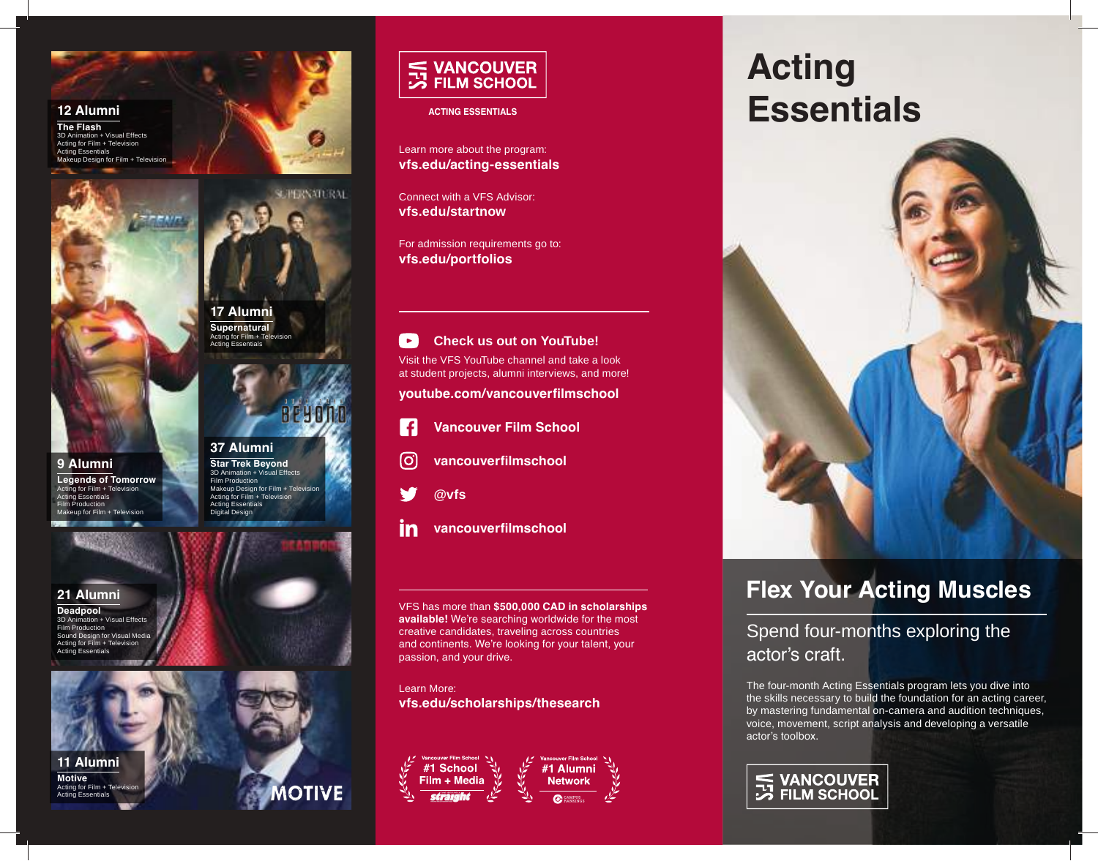**12 Alumni The Flash** 3D Animation + Visual Effects Acting for Film + Television Acting Essentials Makeup Design for Film + Television



**9 Alumni Legends of Tomorrow** Acting for Film + Television Acting Essentials Film Production p for Film + Television

#### **37 Alumni Star Trek Beyond** 3D Animation + Visual Effects Film Production

Makeup Design for Film + Television Acting for Film + Television Acting Essentials Digital Design

**21 Alumni Deadpool**

3D Animation + Visual Effects **Film Production** Sound Design for Visual Media Acting for Film + Television Acting Essentials



**11 Alumni Motive** Acting for Film + Tele Acting Essential





Let the contract of the control of the control of the control of the control of the control of the control of the control of the control of the control of the control of the control of the control of the control of the con Acting Essentials



**OTIVE** 

S VANCOUVER<br>
S FILM SCHOOL

**ACTING ESSENTIALS**

Learn more about the program: **vfs.edu/acting-essentials**

Connect with a VFS Advisor: **vfs.edu/startnow**

For admission requirements go to: **vfs.edu/portfolios**

#### $\blacktriangleright$ **Check us out on YouTube!**

Visit the VFS YouTube channel and take a look at student projects, alumni interviews, and more!

**youtube.com/vancouverfilmschool**



- **Vancouver Film School**
- [ဝ] **vancouverfilmschool**



in **vancouverfilmschool**

VFS has more than **\$500,000 CAD in scholarships available!** We're searching worldwide for the most creative candidates, traveling across countries and continents. We're looking for your talent, your passion, and your drive.

Learn More: **vfs.edu/scholarships/thesearch**



# **Acting Essentials**



# **Flex Your Acting Muscles**

Spend four-months exploring the actor's craft.

The four-month Acting Essentials program lets you dive into the skills necessary to build the foundation for an acting career, by mastering fundamental on-camera and audition techniques, voice, movement, script analysis and developing a versatile actor's toolbox.